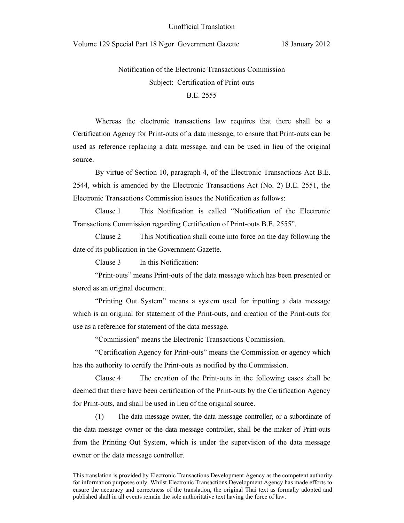Unofficial Translation

Volume 129 Special Part 18 Ngor Government Gazette 18 January 2012

# Notification of the Electronic Transactions Commission Subject: Certification of Print-outs B.E. 2555

Whereas the electronic transactions law requires that there shall be a Certification Agency for Print-outs of a data message, to ensure that Print-outs can be used as reference replacing a data message, and can be used in lieu of the original source.

By virtue of Section 10, paragraph 4, of the Electronic Transactions Act B.E. 2544, which is amended by the Electronic Transactions Act (No. 2) B.E. 2551, the Electronic Transactions Commission issues the Notification as follows:

Clause 1 This Notification is called "Notification of the Electronic Transactions Commission regarding Certification of Print-outs B.E. 2555".

Clause 2 This Notification shall come into force on the day following the date of its publication in the Government Gazette.

Clause 3 In this Notification:

 "Print-outs" means Print-outs of the data message which has been presented or stored as an original document.

 "Printing Out System" means a system used for inputting a data message which is an original for statement of the Print-outs, and creation of the Print-outs for use as a reference for statement of the data message.

"Commission" means the Electronic Transactions Commission.

 "Certification Agency for Print-outs" means the Commission or agency which has the authority to certify the Print-outs as notified by the Commission.

Clause 4 The creation of the Print-outs in the following cases shall be deemed that there have been certification of the Print-outs by the Certification Agency for Print-outs, and shall be used in lieu of the original source.

(1) The data message owner, the data message controller, or a subordinate of the data message owner or the data message controller, shall be the maker of Print-outs from the Printing Out System, which is under the supervision of the data message owner or the data message controller.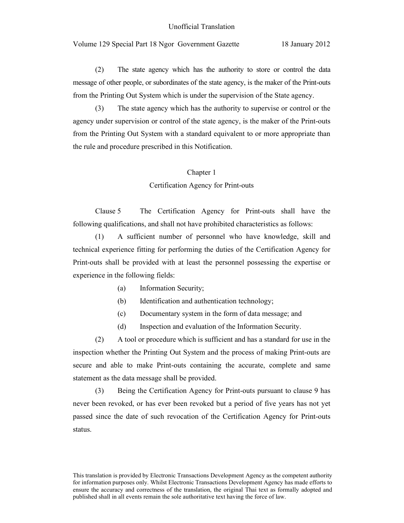(2) The state agency which has the authority to store or control the data message of other people, or subordinates of the state agency, is the maker of the Print-outs from the Printing Out System which is under the supervision of the State agency.

(3) The state agency which has the authority to supervise or control or the agency under supervision or control of the state agency, is the maker of the Print-outs from the Printing Out System with a standard equivalent to or more appropriate than the rule and procedure prescribed in this Notification.

#### Chapter 1

## Certification Agency for Print-outs

 Clause 5 The Certification Agency for Print-outs shall have the following qualifications, and shall not have prohibited characteristics as follows:

 (1) A sufficient number of personnel who have knowledge, skill and technical experience fitting for performing the duties of the Certification Agency for Print-outs shall be provided with at least the personnel possessing the expertise or experience in the following fields:

- (a) Information Security;
- (b) Identification and authentication technology;
- (c) Documentary system in the form of data message; and
- (d) Inspection and evaluation of the Information Security.

 (2) A tool or procedure which is sufficient and has a standard for use in the inspection whether the Printing Out System and the process of making Print-outs are secure and able to make Print-outs containing the accurate, complete and same statement as the data message shall be provided.

 (3) Being the Certification Agency for Print-outs pursuant to clause 9 has never been revoked, or has ever been revoked but a period of five years has not yet passed since the date of such revocation of the Certification Agency for Print-outs status.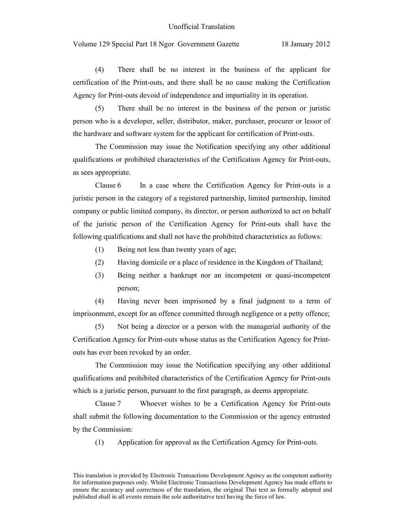#### Unofficial Translation

## Volume 129 Special Part 18 Ngor Government Gazette 18 January 2012

 (4) There shall be no interest in the business of the applicant for certification of the Print-outs, and there shall be no cause making the Certification Agency for Print-outs devoid of independence and impartiality in its operation.

 (5) There shall be no interest in the business of the person or juristic person who is a developer, seller, distributor, maker, purchaser, procurer or lessor of the hardware and software system for the applicant for certification of Print-outs.

 The Commission may issue the Notification specifying any other additional qualifications or prohibited characteristics of the Certification Agency for Print-outs, as sees appropriate.

 Clause 6 In a case where the Certification Agency for Print-outs is a juristic person in the category of a registered partnership, limited partnership, limited company or public limited company, its director, or person authorized to act on behalf of the juristic person of the Certification Agency for Print-outs shall have the following qualifications and shall not have the prohibited characteristics as follows:

- (1) Being not less than twenty years of age;
- (2) Having domicile or a place of residence in the Kingdom of Thailand;
- (3) Being neither a bankrupt nor an incompetent or quasi-incompetent person;

(4) Having never been imprisoned by a final judgment to a term of imprisonment, except for an offence committed through negligence or a petty offence;

(5) Not being a director or a person with the managerial authority of the Certification Agency for Print-outs whose status as the Certification Agency for Printouts has ever been revoked by an order.

 The Commission may issue the Notification specifying any other additional qualifications and prohibited characteristics of the Certification Agency for Print-outs which is a juristic person, pursuant to the first paragraph, as deems appropriate.

 Clause 7 Whoever wishes to be a Certification Agency for Print-outs shall submit the following documentation to the Commission or the agency entrusted by the Commission:

(1) Application for approval as the Certification Agency for Print-outs.

This translation is provided by Electronic Transactions Development Agency as the competent authority for information purposes only. Whilst Electronic Transactions Development Agency has made efforts to ensure the accuracy and correctness of the translation, the original Thai text as formally adopted and published shall in all events remain the sole authoritative text having the force of law.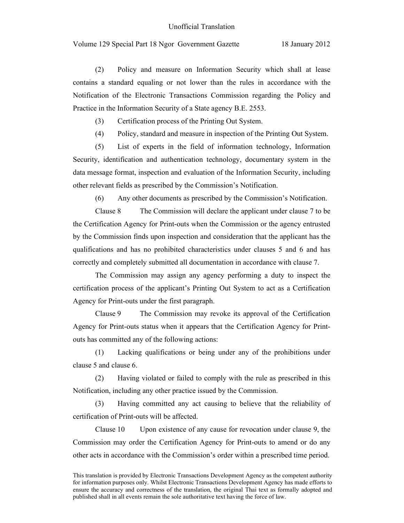(2) Policy and measure on Information Security which shall at lease contains a standard equaling or not lower than the rules in accordance with the Notification of the Electronic Transactions Commission regarding the Policy and Practice in the Information Security of a State agency B.E. 2553.

(3) Certification process of the Printing Out System.

(4) Policy, standard and measure in inspection of the Printing Out System.

(5) List of experts in the field of information technology, Information Security, identification and authentication technology, documentary system in the data message format, inspection and evaluation of the Information Security, including other relevant fields as prescribed by the Commission's Notification.

(6) Any other documents as prescribed by the Commission's Notification.

 Clause 8 The Commission will declare the applicant under clause 7 to be the Certification Agency for Print-outs when the Commission or the agency entrusted by the Commission finds upon inspection and consideration that the applicant has the qualifications and has no prohibited characteristics under clauses 5 and 6 and has correctly and completely submitted all documentation in accordance with clause 7.

 The Commission may assign any agency performing a duty to inspect the certification process of the applicant's Printing Out System to act as a Certification Agency for Print-outs under the first paragraph.

 Clause 9 The Commission may revoke its approval of the Certification Agency for Print-outs status when it appears that the Certification Agency for Printouts has committed any of the following actions:

 (1) Lacking qualifications or being under any of the prohibitions under clause 5 and clause 6.

 (2) Having violated or failed to comply with the rule as prescribed in this Notification, including any other practice issued by the Commission.

 (3) Having committed any act causing to believe that the reliability of certification of Print-outs will be affected.

 Clause 10 Upon existence of any cause for revocation under clause 9, the Commission may order the Certification Agency for Print-outs to amend or do any other acts in accordance with the Commission's order within a prescribed time period.

This translation is provided by Electronic Transactions Development Agency as the competent authority for information purposes only. Whilst Electronic Transactions Development Agency has made efforts to ensure the accuracy and correctness of the translation, the original Thai text as formally adopted and published shall in all events remain the sole authoritative text having the force of law.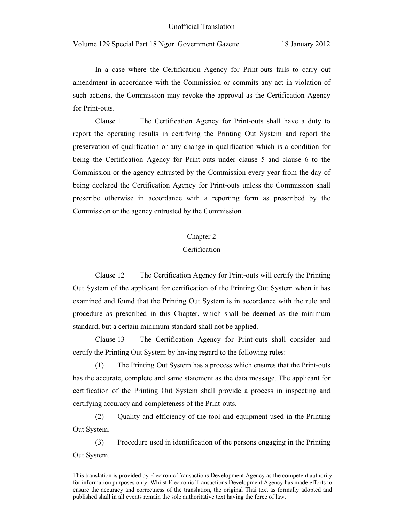In a case where the Certification Agency for Print-outs fails to carry out amendment in accordance with the Commission or commits any act in violation of such actions, the Commission may revoke the approval as the Certification Agency for Print-outs.

 Clause 11 The Certification Agency for Print-outs shall have a duty to report the operating results in certifying the Printing Out System and report the preservation of qualification or any change in qualification which is a condition for being the Certification Agency for Print-outs under clause 5 and clause 6 to the Commission or the agency entrusted by the Commission every year from the day of being declared the Certification Agency for Print-outs unless the Commission shall prescribe otherwise in accordance with a reporting form as prescribed by the Commission or the agency entrusted by the Commission.

#### Chapter 2

### Certification

 Clause 12 The Certification Agency for Print-outs will certify the Printing Out System of the applicant for certification of the Printing Out System when it has examined and found that the Printing Out System is in accordance with the rule and procedure as prescribed in this Chapter, which shall be deemed as the minimum standard, but a certain minimum standard shall not be applied.

Clause 13 The Certification Agency for Print-outs shall consider and certify the Printing Out System by having regard to the following rules:

(1) The Printing Out System has a process which ensures that the Print-outs has the accurate, complete and same statement as the data message. The applicant for certification of the Printing Out System shall provide a process in inspecting and certifying accuracy and completeness of the Print-outs.

(2) Quality and efficiency of the tool and equipment used in the Printing Out System.

(3) Procedure used in identification of the persons engaging in the Printing Out System.

This translation is provided by Electronic Transactions Development Agency as the competent authority for information purposes only. Whilst Electronic Transactions Development Agency has made efforts to ensure the accuracy and correctness of the translation, the original Thai text as formally adopted and published shall in all events remain the sole authoritative text having the force of law.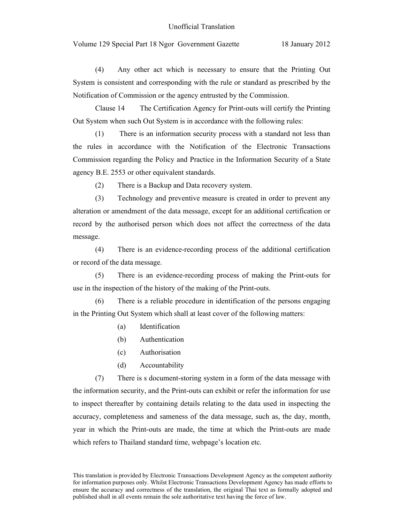(4) Any other act which is necessary to ensure that the Printing Out System is consistent and corresponding with the rule or standard as prescribed by the Notification of Commission or the agency entrusted by the Commission.

Clause 14 The Certification Agency for Print-outs will certify the Printing Out System when such Out System is in accordance with the following rules:

(1) There is an information security process with a standard not less than the rules in accordance with the Notification of the Electronic Transactions Commission regarding the Policy and Practice in the Information Security of a State agency B.E. 2553 or other equivalent standards.

(2) There is a Backup and Data recovery system.

(3) Technology and preventive measure is created in order to prevent any alteration or amendment of the data message, except for an additional certification or record by the authorised person which does not affect the correctness of the data message.

(4) There is an evidence-recording process of the additional certification or record of the data message.

(5) There is an evidence-recording process of making the Print-outs for use in the inspection of the history of the making of the Print-outs.

(6) There is a reliable procedure in identification of the persons engaging in the Printing Out System which shall at least cover of the following matters:

- (a) Identification
- (b) Authentication
- (c) Authorisation
- (d) Accountability

(7) There is s document-storing system in a form of the data message with the information security, and the Print-outs can exhibit or refer the information for use to inspect thereafter by containing details relating to the data used in inspecting the accuracy, completeness and sameness of the data message, such as, the day, month, year in which the Print-outs are made, the time at which the Print-outs are made which refers to Thailand standard time, webpage's location etc.

This translation is provided by Electronic Transactions Development Agency as the competent authority for information purposes only. Whilst Electronic Transactions Development Agency has made efforts to ensure the accuracy and correctness of the translation, the original Thai text as formally adopted and published shall in all events remain the sole authoritative text having the force of law.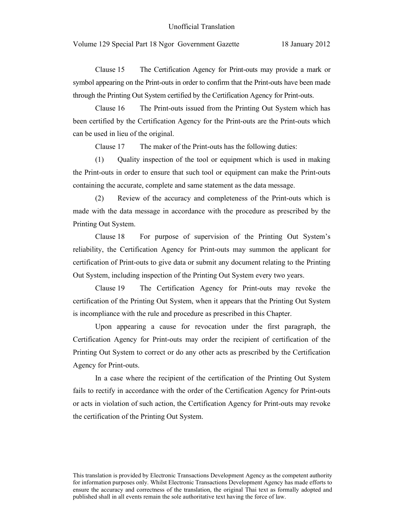Clause 15 The Certification Agency for Print-outs may provide a mark or symbol appearing on the Print-outs in order to confirm that the Print-outs have been made through the Printing Out System certified by the Certification Agency for Print-outs.

Clause 16 The Print-outs issued from the Printing Out System which has been certified by the Certification Agency for the Print-outs are the Print-outs which can be used in lieu of the original.

Clause 17 The maker of the Print-outs has the following duties:

(1) Quality inspection of the tool or equipment which is used in making the Print-outs in order to ensure that such tool or equipment can make the Print-outs containing the accurate, complete and same statement as the data message.

(2) Review of the accuracy and completeness of the Print-outs which is made with the data message in accordance with the procedure as prescribed by the Printing Out System.

Clause 18 For purpose of supervision of the Printing Out System's reliability, the Certification Agency for Print-outs may summon the applicant for certification of Print-outs to give data or submit any document relating to the Printing Out System, including inspection of the Printing Out System every two years.

Clause 19 The Certification Agency for Print-outs may revoke the certification of the Printing Out System, when it appears that the Printing Out System is incompliance with the rule and procedure as prescribed in this Chapter.

Upon appearing a cause for revocation under the first paragraph, the Certification Agency for Print-outs may order the recipient of certification of the Printing Out System to correct or do any other acts as prescribed by the Certification Agency for Print-outs.

In a case where the recipient of the certification of the Printing Out System fails to rectify in accordance with the order of the Certification Agency for Print-outs or acts in violation of such action, the Certification Agency for Print-outs may revoke the certification of the Printing Out System.